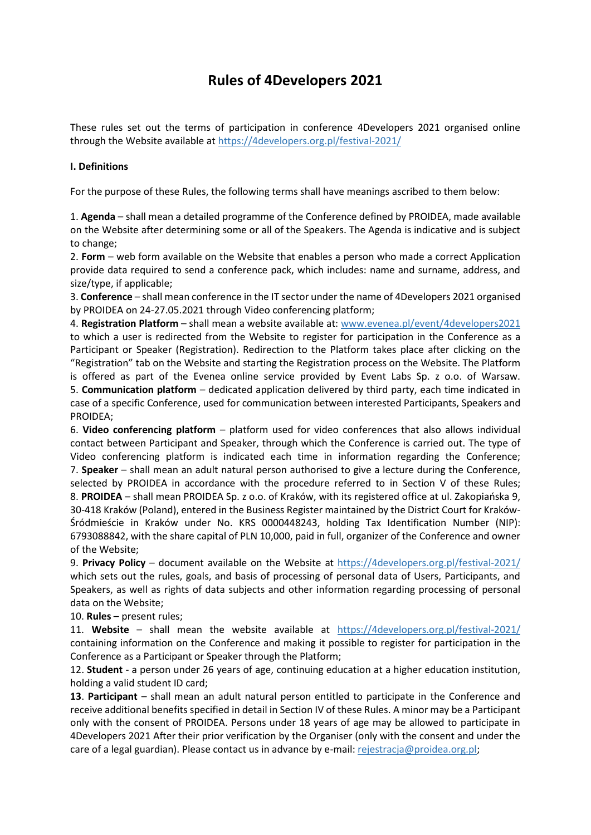# **Rules of 4Developers 2021**

These rules set out the terms of participation in conference 4Developers 2021 organised online through the Website available at <https://4developers.org.pl/festival-2021/>

# **I. Definitions**

For the purpose of these Rules, the following terms shall have meanings ascribed to them below:

1. **Agenda** – shall mean a detailed programme of the Conference defined by PROIDEA, made available on the Website after determining some or all of the Speakers. The Agenda is indicative and is subject to change;

2. **Form** – web form available on the Website that enables a person who made a correct Application provide data required to send a conference pack, which includes: name and surname, address, and size/type, if applicable;

3. **Conference** – shall mean conference in the IT sector under the name of 4Developers 2021 organised by PROIDEA on 24-27.05.2021 through Video conferencing platform;

4. **Registration Platform** – shall mean a website available at: [www.evenea.pl/event/4developers2021](http://www.evenea.pl/event/4developers2021) to which a user is redirected from the Website to register for participation in the Conference as a Participant or Speaker (Registration). Redirection to the Platform takes place after clicking on the "Registration" tab on the Website and starting the Registration process on the Website. The Platform is offered as part of the Evenea online service provided by Event Labs Sp. z o.o. of Warsaw.

5. **Communication platform** – dedicated application delivered by third party, each time indicated in case of a specific Conference, used for communication between interested Participants, Speakers and PROIDEA;

6. **Video conferencing platform** – platform used for video conferences that also allows individual contact between Participant and Speaker, through which the Conference is carried out. The type of Video conferencing platform is indicated each time in information regarding the Conference; 7. **Speaker** – shall mean an adult natural person authorised to give a lecture during the Conference, selected by PROIDEA in accordance with the procedure referred to in Section V of these Rules; 8. **PROIDEA** – shall mean PROIDEA Sp. z o.o. of Kraków, with its registered office at ul. Zakopiańska 9, 30-418 Kraków (Poland), entered in the Business Register maintained by the District Court for Kraków-Śródmieście in Kraków under No. KRS 0000448243, holding Tax Identification Number (NIP): 6793088842, with the share capital of PLN 10,000, paid in full, organizer of the Conference and owner of the Website;

9. **Privacy Policy** – document available on the Website at <https://4developers.org.pl/festival-2021/> which sets out the rules, goals, and basis of processing of personal data of Users, Participants, and Speakers, as well as rights of data subjects and other information regarding processing of personal data on the Website;

10. **Rules** – present rules;

11. **Website** – shall mean the website available at <https://4developers.org.pl/festival-2021/> containing information on the Conference and making it possible to register for participation in the Conference as a Participant or Speaker through the Platform;

12. **Student** - a person under 26 years of age, continuing education at a higher education institution, holding a valid student ID card;

**13**. **Participant** – shall mean an adult natural person entitled to participate in the Conference and receive additional benefits specified in detail in Section IV of these Rules. A minor may be a Participant only with the consent of PROIDEA. Persons under 18 years of age may be allowed to participate in 4Developers 2021 After their prior verification by the Organiser (only with the consent and under the care of a legal guardian). Please contact us in advance by e-mail: [rejestracja@proidea.org.pl;](mailto:rejestracja@proidea.org.pl)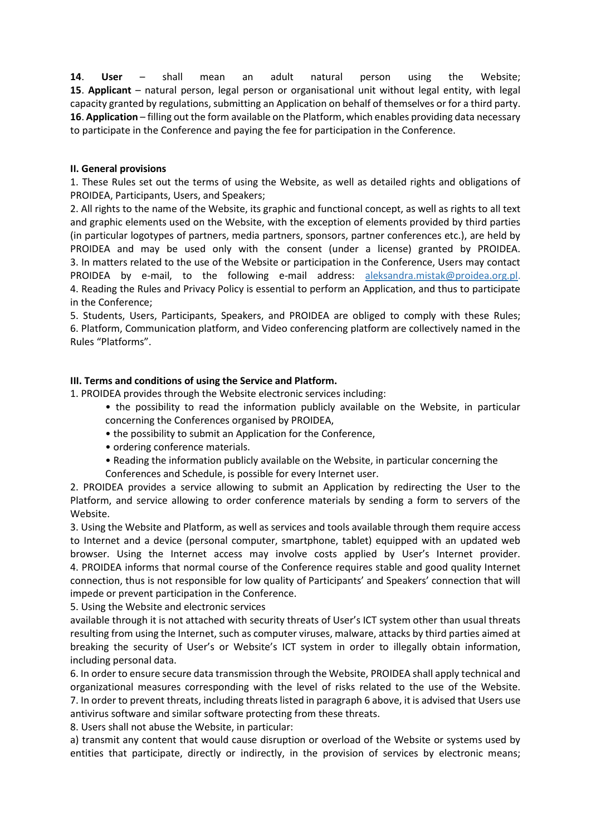**14**. **User** – shall mean an adult natural person using the Website; **15**. **Applicant** – natural person, legal person or organisational unit without legal entity, with legal capacity granted by regulations, submitting an Application on behalf of themselves or for a third party. **16**. **Application** – filling out the form available on the Platform, which enables providing data necessary to participate in the Conference and paying the fee for participation in the Conference.

# **II. General provisions**

1. These Rules set out the terms of using the Website, as well as detailed rights and obligations of PROIDEA, Participants, Users, and Speakers;

2. All rights to the name of the Website, its graphic and functional concept, as well as rights to all text and graphic elements used on the Website, with the exception of elements provided by third parties (in particular logotypes of partners, media partners, sponsors, partner conferences etc.), are held by PROIDEA and may be used only with the consent (under a license) granted by PROIDEA. 3. In matters related to the use of the Website or participation in the Conference, Users may contact PROIDEA by e-mail, to the following e-mail address: [aleksandra.mistak@proidea.org.pl.](mailto:aleksandra.mistak@proidea.org.pl) 4. Reading the Rules and Privacy Policy is essential to perform an Application, and thus to participate in the Conference;

5. Students, Users, Participants, Speakers, and PROIDEA are obliged to comply with these Rules; 6. Platform, Communication platform, and Video conferencing platform are collectively named in the Rules "Platforms".

# **III. Terms and conditions of using the Service and Platform.**

1. PROIDEA provides through the Website electronic services including:

- the possibility to read the information publicly available on the Website, in particular concerning the Conferences organised by PROIDEA,
- the possibility to submit an Application for the Conference,
- ordering conference materials.
- Reading the information publicly available on the Website, in particular concerning the Conferences and Schedule, is possible for every Internet user.

2. PROIDEA provides a service allowing to submit an Application by redirecting the User to the Platform, and service allowing to order conference materials by sending a form to servers of the Website.

3. Using the Website and Platform, as well as services and tools available through them require access to Internet and a device (personal computer, smartphone, tablet) equipped with an updated web browser. Using the Internet access may involve costs applied by User's Internet provider. 4. PROIDEA informs that normal course of the Conference requires stable and good quality Internet connection, thus is not responsible for low quality of Participants' and Speakers' connection that will impede or prevent participation in the Conference.

5. Using the Website and electronic services

available through it is not attached with security threats of User's ICT system other than usual threats resulting from using the Internet, such as computer viruses, malware, attacks by third parties aimed at breaking the security of User's or Website's ICT system in order to illegally obtain information, including personal data.

6. In order to ensure secure data transmission through the Website, PROIDEA shall apply technical and organizational measures corresponding with the level of risks related to the use of the Website. 7. In order to prevent threats, including threats listed in paragraph 6 above, it is advised that Users use antivirus software and similar software protecting from these threats.

8. Users shall not abuse the Website, in particular:

a) transmit any content that would cause disruption or overload of the Website or systems used by entities that participate, directly or indirectly, in the provision of services by electronic means;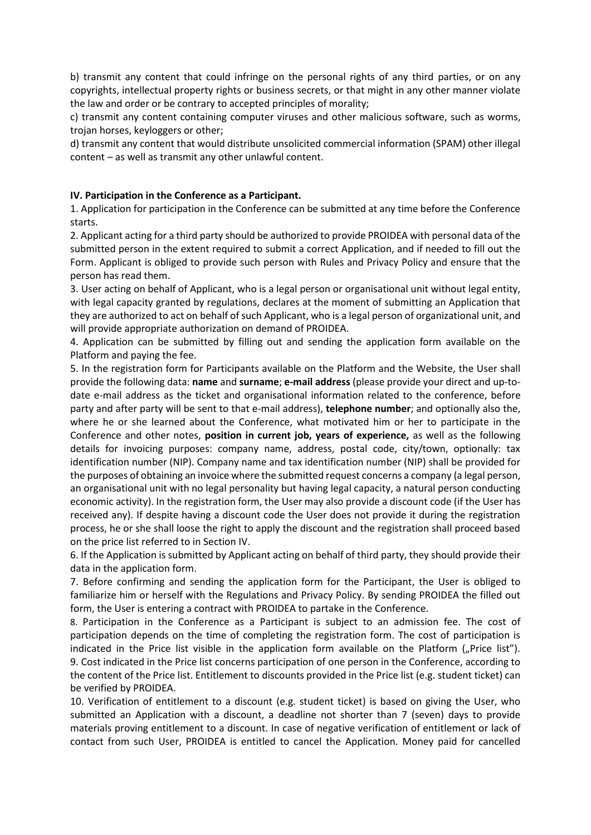b) transmit any content that could infringe on the personal rights of any third parties, or on any copyrights, intellectual property rights or business secrets, or that might in any other manner violate the law and order or be contrary to accepted principles of morality;

c) transmit any content containing computer viruses and other malicious software, such as worms, trojan horses, keyloggers or other;

d) transmit any content that would distribute unsolicited commercial information (SPAM) other illegal content – as well as transmit any other unlawful content.

# **IV. Participation in the Conference as a Participant.**

1. Application for participation in the Conference can be submitted at any time before the Conference starts.

2. Applicant acting for a third party should be authorized to provide PROIDEA with personal data of the submitted person in the extent required to submit a correct Application, and if needed to fill out the Form. Applicant is obliged to provide such person with Rules and Privacy Policy and ensure that the person has read them.

3. User acting on behalf of Applicant, who is a legal person or organisational unit without legal entity, with legal capacity granted by regulations, declares at the moment of submitting an Application that they are authorized to act on behalf of such Applicant, who is a legal person of organizational unit, and will provide appropriate authorization on demand of PROIDEA.

4. Application can be submitted by filling out and sending the application form available on the Platform and paying the fee.

5. In the registration form for Participants available on the Platform and the Website, the User shall provide the following data: **name** and **surname**; **e-mail address** (please provide your direct and up-todate e-mail address as the ticket and organisational information related to the conference, before party and after party will be sent to that e-mail address), **telephone number**; and optionally also the, where he or she learned about the Conference, what motivated him or her to participate in the Conference and other notes, **position in current job, years of experience,** as well as the following details for invoicing purposes: company name, address, postal code, city/town, optionally: tax identification number (NIP). Company name and tax identification number (NIP) shall be provided for the purposes of obtaining an invoice where the submitted request concerns a company (a legal person, an organisational unit with no legal personality but having legal capacity, a natural person conducting economic activity). In the registration form, the User may also provide a discount code (if the User has received any). If despite having a discount code the User does not provide it during the registration process, he or she shall loose the right to apply the discount and the registration shall proceed based on the price list referred to in Section IV.

6. If the Application is submitted by Applicant acting on behalf of third party, they should provide their data in the application form.

7. Before confirming and sending the application form for the Participant, the User is obliged to familiarize him or herself with the Regulations and Privacy Policy. By sending PROIDEA the filled out form, the User is entering a contract with PROIDEA to partake in the Conference.

8. Participation in the Conference as a Participant is subject to an admission fee. The cost of participation depends on the time of completing the registration form. The cost of participation is indicated in the Price list visible in the application form available on the Platform ("Price list"). 9. Cost indicated in the Price list concerns participation of one person in the Conference, according to the content of the Price list. Entitlement to discounts provided in the Price list (e.g. student ticket) can be verified by PROIDEA.

10. Verification of entitlement to a discount (e.g. student ticket) is based on giving the User, who submitted an Application with a discount, a deadline not shorter than 7 (seven) days to provide materials proving entitlement to a discount. In case of negative verification of entitlement or lack of contact from such User, PROIDEA is entitled to cancel the Application. Money paid for cancelled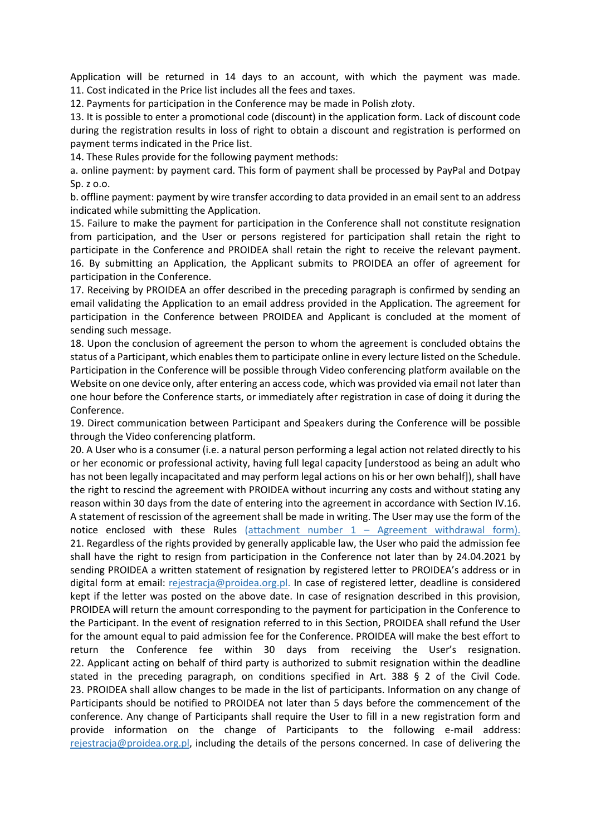Application will be returned in 14 days to an account, with which the payment was made. 11. Cost indicated in the Price list includes all the fees and taxes.

12. Payments for participation in the Conference may be made in Polish złoty.

13. It is possible to enter a promotional code (discount) in the application form. Lack of discount code during the registration results in loss of right to obtain a discount and registration is performed on payment terms indicated in the Price list.

14. These Rules provide for the following payment methods:

a. online payment: by payment card. This form of payment shall be processed by PayPal and Dotpay Sp. z o.o.

b. offline payment: payment by wire transfer according to data provided in an email sent to an address indicated while submitting the Application.

15. Failure to make the payment for participation in the Conference shall not constitute resignation from participation, and the User or persons registered for participation shall retain the right to participate in the Conference and PROIDEA shall retain the right to receive the relevant payment. 16. By submitting an Application, the Applicant submits to PROIDEA an offer of agreement for participation in the Conference.

17. Receiving by PROIDEA an offer described in the preceding paragraph is confirmed by sending an email validating the Application to an email address provided in the Application. The agreement for participation in the Conference between PROIDEA and Applicant is concluded at the moment of sending such message.

18. Upon the conclusion of agreement the person to whom the agreement is concluded obtains the status of a Participant, which enables them to participate online in every lecture listed on the Schedule. Participation in the Conference will be possible through Video conferencing platform available on the Website on one device only, after entering an access code, which was provided via email not later than one hour before the Conference starts, or immediately after registration in case of doing it during the Conference.

19. Direct communication between Participant and Speakers during the Conference will be possible through the Video conferencing platform.

20. A User who is a consumer (i.e. a natural person performing a legal action not related directly to his or her economic or professional activity, having full legal capacity [understood as being an adult who has not been legally incapacitated and may perform legal actions on his or her own behalf]), shall have the right to rescind the agreement with PROIDEA without incurring any costs and without stating any reason within 30 days from the date of entering into the agreement in accordance with Section IV.16. A statement of rescission of the agreement shall be made in writing. The User may use the form of the notice enclosed with these Rules (attachment number  $1 -$  [Agreement withdrawal form\).](https://4developers.org.pl/wp-content/uploads/2020/03/TEMPLATE-OF-THE-STATEMENT-OF-RESCISSION-OF-THE-AGREEMENT.pdf) 21. Regardless of the rights provided by generally applicable law, the User who paid the admission fee shall have the right to resign from participation in the Conference not later than by 24.04.2021 by sending PROIDEA a written statement of resignation by registered letter to PROIDEA's address or in digital form at email: [rejestracja@proidea.org.pl.](mailto:rejestracja@proidea.org.pl) In case of registered letter, deadline is considered kept if the letter was posted on the above date. In case of resignation described in this provision, PROIDEA will return the amount corresponding to the payment for participation in the Conference to the Participant. In the event of resignation referred to in this Section, PROIDEA shall refund the User for the amount equal to paid admission fee for the Conference. PROIDEA will make the best effort to return the Conference fee within 30 days from receiving the User's resignation. 22. Applicant acting on behalf of third party is authorized to submit resignation within the deadline stated in the preceding paragraph, on conditions specified in Art. 388 § 2 of the Civil Code. 23. PROIDEA shall allow changes to be made in the list of participants. Information on any change of Participants should be notified to PROIDEA not later than 5 days before the commencement of the conference. Any change of Participants shall require the User to fill in a new registration form and provide information on the change of Participants to the following e-mail address[:](mailto:rejestracja@proidea.org.pl) [rejestracja@proidea.org.pl,](mailto:rejestracja@proidea.org.pl) including the details of the persons concerned. In case of delivering the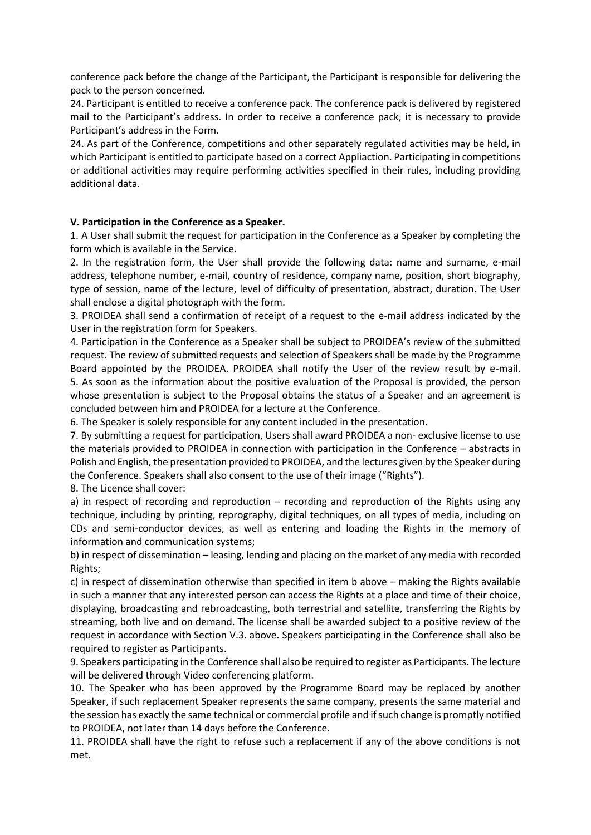conference pack before the change of the Participant, the Participant is responsible for delivering the pack to the person concerned.

24. Participant is entitled to receive a conference pack. The conference pack is delivered by registered mail to the Participant's address. In order to receive a conference pack, it is necessary to provide Participant's address in the Form.

24. As part of the Conference, competitions and other separately regulated activities may be held, in which Participant is entitled to participate based on a correct Appliaction. Participating in competitions or additional activities may require performing activities specified in their rules, including providing additional data.

# **V. Participation in the Conference as a Speaker.**

1. A User shall submit the request for participation in the Conference as a Speaker by completing the form which is available in the Service.

2. In the registration form, the User shall provide the following data: name and surname, e-mail address, telephone number, e-mail, country of residence, company name, position, short biography, type of session, name of the lecture, level of difficulty of presentation, abstract, duration. The User shall enclose a digital photograph with the form.

3. PROIDEA shall send a confirmation of receipt of a request to the e-mail address indicated by the User in the registration form for Speakers.

4. Participation in the Conference as a Speaker shall be subject to PROIDEA's review of the submitted request. The review of submitted requests and selection of Speakers shall be made by the Programme Board appointed by the PROIDEA. PROIDEA shall notify the User of the review result by e-mail. 5. As soon as the information about the positive evaluation of the Proposal is provided, the person whose presentation is subject to the Proposal obtains the status of a Speaker and an agreement is concluded between him and PROIDEA for a lecture at the Conference.

6. The Speaker is solely responsible for any content included in the presentation.

7. By submitting a request for participation, Users shall award PROIDEA a non- exclusive license to use the materials provided to PROIDEA in connection with participation in the Conference – abstracts in Polish and English, the presentation provided to PROIDEA, and the lectures given by the Speaker during the Conference. Speakers shall also consent to the use of their image ("Rights").

8. The Licence shall cover:

a) in respect of recording and reproduction – recording and reproduction of the Rights using any technique, including by printing, reprography, digital techniques, on all types of media, including on CDs and semi-conductor devices, as well as entering and loading the Rights in the memory of information and communication systems;

b) in respect of dissemination – leasing, lending and placing on the market of any media with recorded Rights;

c) in respect of dissemination otherwise than specified in item b above – making the Rights available in such a manner that any interested person can access the Rights at a place and time of their choice, displaying, broadcasting and rebroadcasting, both terrestrial and satellite, transferring the Rights by streaming, both live and on demand. The license shall be awarded subject to a positive review of the request in accordance with Section V.3. above. Speakers participating in the Conference shall also be required to register as Participants.

9. Speakers participating in the Conference shall also be required to register as Participants. The lecture will be delivered through Video conferencing platform.

10. The Speaker who has been approved by the Programme Board may be replaced by another Speaker, if such replacement Speaker represents the same company, presents the same material and the session has exactly the same technical or commercial profile and if such change is promptly notified to PROIDEA, not later than 14 days before the Conference.

11. PROIDEA shall have the right to refuse such a replacement if any of the above conditions is not met.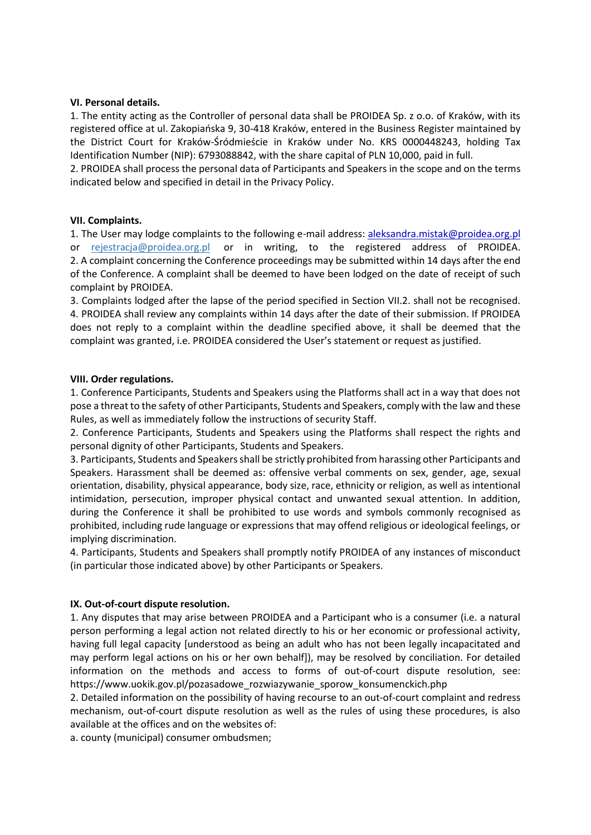#### **VI. Personal details.**

1. The entity acting as the Controller of personal data shall be PROIDEA Sp. z o.o. of Kraków, with its registered office at ul. Zakopiańska 9, 30-418 Kraków, entered in the Business Register maintained by the District Court for Kraków-Śródmieście in Kraków under No. KRS 0000448243, holding Tax Identification Number (NIP): 6793088842, with the share capital of PLN 10,000, paid in full.

2. PROIDEA shall process the personal data of Participants and Speakers in the scope and on the terms indicated below and specified in detail in the Privacy Policy.

## **VII. Complaints.**

1. The User may lodge complaints to the following e-mail address[: aleksandra.mistak@proidea.org.pl](mailto:aleksandra.mistak@proidea.org.pl) or [rejestracja@proidea.org.pl](mailto:rejestracja@proidea.org.pl) or in writing, to the registered address of PROIDEA. 2. A complaint concerning the Conference proceedings may be submitted within 14 days after the end of the Conference. A complaint shall be deemed to have been lodged on the date of receipt of such complaint by PROIDEA.

3. Complaints lodged after the lapse of the period specified in Section VII.2. shall not be recognised. 4. PROIDEA shall review any complaints within 14 days after the date of their submission. If PROIDEA does not reply to a complaint within the deadline specified above, it shall be deemed that the complaint was granted, i.e. PROIDEA considered the User's statement or request as justified.

#### **VIII. Order regulations.**

1. Conference Participants, Students and Speakers using the Platforms shall act in a way that does not pose a threat to the safety of other Participants, Students and Speakers, comply with the law and these Rules, as well as immediately follow the instructions of security Staff.

2. Conference Participants, Students and Speakers using the Platforms shall respect the rights and personal dignity of other Participants, Students and Speakers.

3. Participants, Students and Speakers shall be strictly prohibited from harassing other Participants and Speakers. Harassment shall be deemed as: offensive verbal comments on sex, gender, age, sexual orientation, disability, physical appearance, body size, race, ethnicity or religion, as well as intentional intimidation, persecution, improper physical contact and unwanted sexual attention. In addition, during the Conference it shall be prohibited to use words and symbols commonly recognised as prohibited, including rude language or expressions that may offend religious or ideological feelings, or implying discrimination.

4. Participants, Students and Speakers shall promptly notify PROIDEA of any instances of misconduct (in particular those indicated above) by other Participants or Speakers.

## **IX. Out-of-court dispute resolution.**

1. Any disputes that may arise between PROIDEA and a Participant who is a consumer (i.e. a natural person performing a legal action not related directly to his or her economic or professional activity, having full legal capacity [understood as being an adult who has not been legally incapacitated and may perform legal actions on his or her own behalf]), may be resolved by conciliation. For detailed information on the methods and access to forms of out-of-court dispute resolution, see: https://www.uokik.gov.pl/pozasadowe\_rozwiazywanie\_sporow\_konsumenckich.php

2. Detailed information on the possibility of having recourse to an out-of-court complaint and redress mechanism, out-of-court dispute resolution as well as the rules of using these procedures, is also available at the offices and on the websites of:

a. county (municipal) consumer ombudsmen;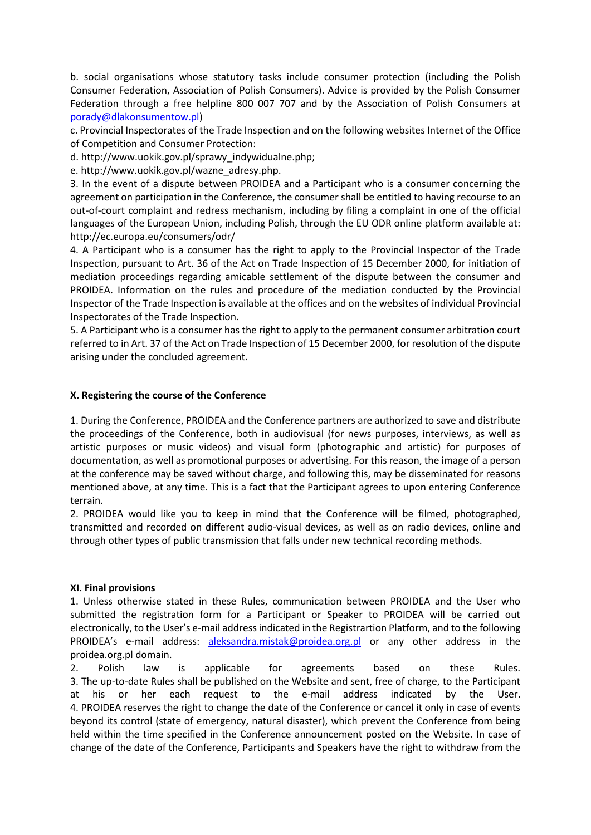b. social organisations whose statutory tasks include consumer protection (including the Polish Consumer Federation, Association of Polish Consumers). Advice is provided by the Polish Consumer Federation through a free helpline 800 007 707 and by the Association of Polish Consumers at [porady@dlakonsumentow.pl\)](mailto:porady@dlakonsumentow.pl)

c. Provincial Inspectorates of the Trade Inspection and on the following websites Internet of the Office of Competition and Consumer Protection:

d. http://www.uokik.gov.pl/sprawy\_indywidualne.php;

e. http://www.uokik.gov.pl/wazne\_adresy.php.

3. In the event of a dispute between PROIDEA and a Participant who is a consumer concerning the agreement on participation in the Conference, the consumer shall be entitled to having recourse to an out-of-court complaint and redress mechanism, including by filing a complaint in one of the official languages of the European Union, including Polish, through the EU ODR online platform available at: http://ec.europa.eu/consumers/odr/

4. A Participant who is a consumer has the right to apply to the Provincial Inspector of the Trade Inspection, pursuant to Art. 36 of the Act on Trade Inspection of 15 December 2000, for initiation of mediation proceedings regarding amicable settlement of the dispute between the consumer and PROIDEA. Information on the rules and procedure of the mediation conducted by the Provincial Inspector of the Trade Inspection is available at the offices and on the websites of individual Provincial Inspectorates of the Trade Inspection.

5. A Participant who is a consumer has the right to apply to the permanent consumer arbitration court referred to in Art. 37 of the Act on Trade Inspection of 15 December 2000, for resolution of the dispute arising under the concluded agreement.

# **X. Registering the course of the Conference**

1. During the Conference, PROIDEA and the Conference partners are authorized to save and distribute the proceedings of the Conference, both in audiovisual (for news purposes, interviews, as well as artistic purposes or music videos) and visual form (photographic and artistic) for purposes of documentation, as well as promotional purposes or advertising. For this reason, the image of a person at the conference may be saved without charge, and following this, may be disseminated for reasons mentioned above, at any time. This is a fact that the Participant agrees to upon entering Conference terrain.

2. PROIDEA would like you to keep in mind that the Conference will be filmed, photographed, transmitted and recorded on different audio-visual devices, as well as on radio devices, online and through other types of public transmission that falls under new technical recording methods.

## **XI. Final provisions**

1. Unless otherwise stated in these Rules, communication between PROIDEA and the User who submitted the registration form for a Participant or Speaker to PROIDEA will be carried out electronically, to the User's e-mail address indicated in the Registrartion Platform, and to the following PROIDEA's e-mail address: [aleksandra.mistak@proidea.org.pl](mailto:aleksandra.mistak@proidea.org.pl) or any other address in the proidea.org.pl domain.

2. Polish law is applicable for agreements based on these Rules. 3. The up-to-date Rules shall be published on the Website and sent, free of charge, to the Participant at his or her each request to the e-mail address indicated by the User. 4. PROIDEA reserves the right to change the date of the Conference or cancel it only in case of events beyond its control (state of emergency, natural disaster), which prevent the Conference from being held within the time specified in the Conference announcement posted on the Website. In case of change of the date of the Conference, Participants and Speakers have the right to withdraw from the